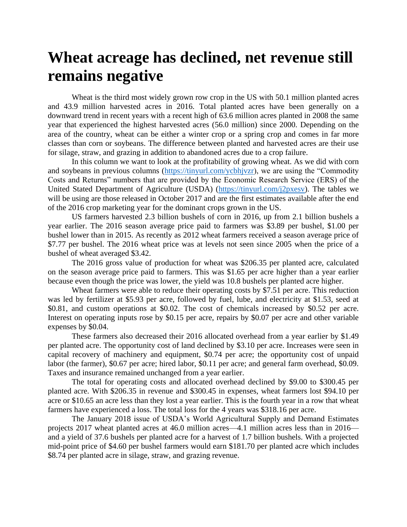## **Wheat acreage has declined, net revenue still remains negative**

Wheat is the third most widely grown row crop in the US with 50.1 million planted acres and 43.9 million harvested acres in 2016. Total planted acres have been generally on a downward trend in recent years with a recent high of 63.6 million acres planted in 2008 the same year that experienced the highest harvested acres (56.0 million) since 2000. Depending on the area of the country, wheat can be either a winter crop or a spring crop and comes in far more classes than corn or soybeans. The difference between planted and harvested acres are their use for silage, straw, and grazing in addition to abandoned acres due to a crop failure.

In this column we want to look at the profitability of growing wheat. As we did with corn and soybeans in previous columns [\(https://tinyurl.com/ycbhjvzr\)](https://tinyurl.com/ycbhjvzr), we are using the "Commodity Costs and Returns" numbers that are provided by the Economic Research Service (ERS) of the United Stated Department of Agriculture (USDA) [\(https://tinyurl.com/j2pxesv\)](https://tinyurl.com/j2pxesv). The tables we will be using are those released in October 2017 and are the first estimates available after the end of the 2016 crop marketing year for the dominant crops grown in the US.

US farmers harvested 2.3 billion bushels of corn in 2016, up from 2.1 billion bushels a year earlier. The 2016 season average price paid to farmers was \$3.89 per bushel, \$1.00 per bushel lower than in 2015. As recently as 2012 wheat farmers received a season average price of \$7.77 per bushel. The 2016 wheat price was at levels not seen since 2005 when the price of a bushel of wheat averaged \$3.42.

The 2016 gross value of production for wheat was \$206.35 per planted acre, calculated on the season average price paid to farmers. This was \$1.65 per acre higher than a year earlier because even though the price was lower, the yield was 10.8 bushels per planted acre higher.

Wheat farmers were able to reduce their operating costs by \$7.51 per acre. This reduction was led by fertilizer at \$5.93 per acre, followed by fuel, lube, and electricity at \$1.53, seed at \$0.81, and custom operations at \$0.02. The cost of chemicals increased by \$0.52 per acre. Interest on operating inputs rose by \$0.15 per acre, repairs by \$0.07 per acre and other variable expenses by \$0.04.

These farmers also decreased their 2016 allocated overhead from a year earlier by \$1.49 per planted acre. The opportunity cost of land declined by \$3.10 per acre. Increases were seen in capital recovery of machinery and equipment, \$0.74 per acre; the opportunity cost of unpaid labor (the farmer), \$0.67 per acre; hired labor, \$0.11 per acre; and general farm overhead, \$0.09. Taxes and insurance remained unchanged from a year earlier.

The total for operating costs and allocated overhead declined by \$9.00 to \$300.45 per planted acre. With \$206.35 in revenue and \$300.45 in expenses, wheat farmers lost \$94.10 per acre or \$10.65 an acre less than they lost a year earlier. This is the fourth year in a row that wheat farmers have experienced a loss. The total loss for the 4 years was \$318.16 per acre.

The January 2018 issue of USDA's World Agricultural Supply and Demand Estimates projects 2017 wheat planted acres at 46.0 million acres—4.1 million acres less than in 2016 and a yield of 37.6 bushels per planted acre for a harvest of 1.7 billion bushels. With a projected mid-point price of \$4.60 per bushel farmers would earn \$181.70 per planted acre which includes \$8.74 per planted acre in silage, straw, and grazing revenue.